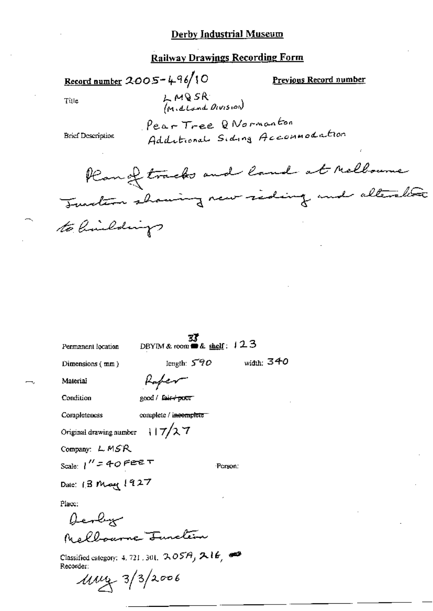### Railway Drawings Recording Form

Record number  $2005 - 496/10$ 

Preyjous Record number

Title

LMQSR<br>*(Midland Division*)

Pear Tree Q Normanton Additional Siding Accommodation

**Brief Description** 

Plan of tracks and land at Melloune Turation showing new siding and alterative to limitatings

width:  $340$ 

Permanent location

 $\frac{37}{23}$ <br>DBYIM & room **=** & shelf:  $123$ 

Person:

length:  $590$ 

Dimensions (mm)

Rafer

good / fair+poor

Condition

Material

Completeness

complete / incomplete

 $117/27$ Original drawing number

Company: LMSR

Scale:  $1'' = 40$  Fee  $\tau$ 

Date: 13 May 1927

Place:

Devly Malbourne Junction

Classified category: 4, 721, 301,  $2.05A$ ,  $21B$ ,  $49$ Recorder:

 $1044 - 3/3/2006$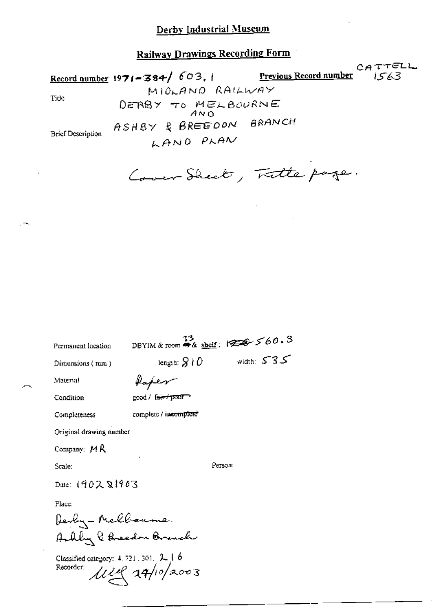Railway Drawings Recording Form

CATTELL Record number 1971-384/603.  $1563$ Previous Record number MIDLAND RAILWAY Tide DERBY TO MELBOURNE ASHBY & BREEDON BRANCH **Brief Description** LAND PLAN

Cover Sheet, Tatte page.

DBYIM & room # & shelf:  $3$ Permanent location  $\text{length: } \mathcal{G} \nmid \mathcal{O} \qquad \qquad \text{width: } \mathcal{S} \nmid \mathcal{S}$ Dimensions (mm) Material Paper Condition good / fair / poor complete / incomplete Completeness Original drawing number Company:  $M R$ Ретвол: Scale: Date: 1902 21903 Place:

Devly-Melbourne. Arbly & Breedon Branch

Classified category:  $4, 721, 301, 2, 1, 6$ Recorder:  $\mu$ uq at/10/2003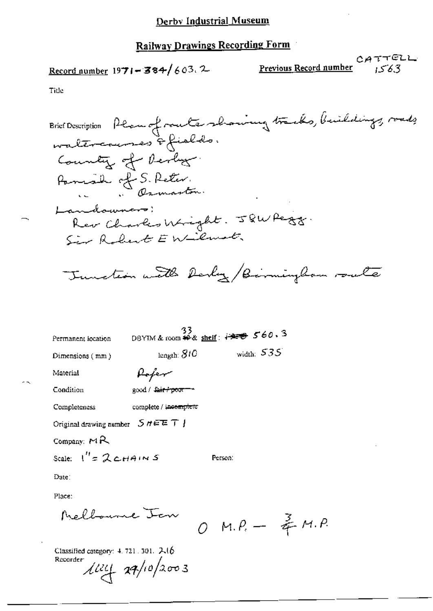Record number  $1971 - 384/603$ . 2

CATTELL Previous Record number テピスス

Title

Brief Description Plan of route showing tracks, buildings, roads waltercourses & fields. Country of Derby. Parish of S. Reter. Landowners: Rev Charles Wright. JQWPegg. Sir Robert EWilmot. Tunction with Derly /Birmingham route 33<br>DBYIM & room #4 & shelf:  $720$  560.3 Permanent location width:  $535$ length:  $810$ Dimensions (mm) Rofer Material Condition good / fair / poor - complete / incemplete Completeness Original drawing number  $S$   $H \oplus E$   $T$   $\vdash$ Company:  $M$ R Scale:  $I'' = 2c$ HAINS Person: Date: Place:

Melbourne Jan

 $0 M.P. - \frac{2}{5} M.P.$ 

Classified category: 4, 721, 301, 246 Recorder:  $\frac{1}{4} \frac{1}{4} \frac{1}{4} \frac{1}{4} \frac{1}{4} \frac{1}{4} \frac{1}{4} \frac{1}{4} \frac{1}{4} \frac{1}{4} \frac{1}{4} \frac{1}{4} \frac{1}{4} \frac{1}{4} \frac{1}{4} \frac{1}{4} \frac{1}{4} \frac{1}{4} \frac{1}{4} \frac{1}{4} \frac{1}{4} \frac{1}{4} \frac{1}{4} \frac{1}{4} \frac{1}{4} \frac{1}{4} \frac{1}{4} \frac{1}{4} \frac{1}{4} \frac{1}{4} \frac{1}{4} \frac{$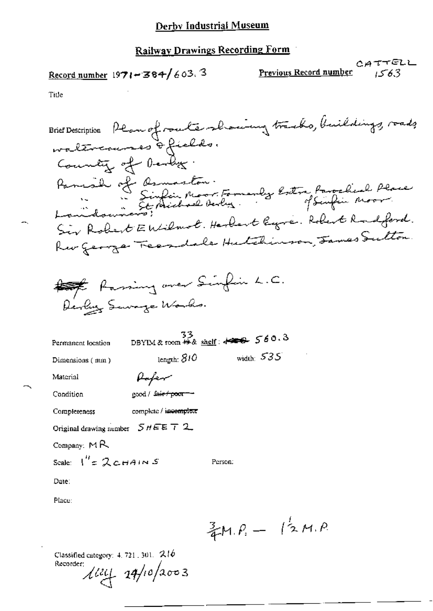Record number  $1971 - 384/603$ . 3

CATTELL Previous Record number 1563

Title

Brief Description Plan of router showing tracks, buildings, roads waltercourses of fields. County of Dendez. Panial of Asmaston.<br>La Sinfin Moor Famenly Estra favorabial Place Sir Robert Entilmot. Harbert legre. Robert Radford. Rev George Feerdale Hutchinson, James Sutton. to Raming over Sinfin L.C. Derly Servage Works.  $\frac{33}{28}$  DBYIM & room  $\frac{42}{28}$  shelf:  $\frac{42}{28}$   $\frac{560.3}{28}$ Permanent location width:  $535$ length: 810 Dimensions (mm) Rafer Material Condition good / fair+poor-Completeness complete / incomplete Original drawing number  $5$   $\#$   $E$   $\bar{T}$  2 Company: MR Scale:  $I'' = 2c$ HAINS Person: Date: Place:  $\frac{3}{4}M.P. - 12M.P.$ 

Classified category:  $4.721$ ,  $301$ .  $216$ Recorder:  $\frac{1}{4}$   $\frac{1}{4}$   $\frac{1}{4}$   $\frac{1}{4}$   $\frac{1}{4}$   $\frac{1}{4}$   $\frac{1}{4}$   $\frac{1}{4}$   $\frac{1}{4}$   $\frac{1}{4}$   $\frac{1}{4}$   $\frac{1}{4}$   $\frac{1}{4}$   $\frac{1}{4}$   $\frac{1}{4}$   $\frac{1}{4}$   $\frac{1}{4}$   $\frac{1}{4}$   $\frac{1}{4}$   $\frac{1}{4}$   $\frac{1}{4}$   $\frac{1}{4}$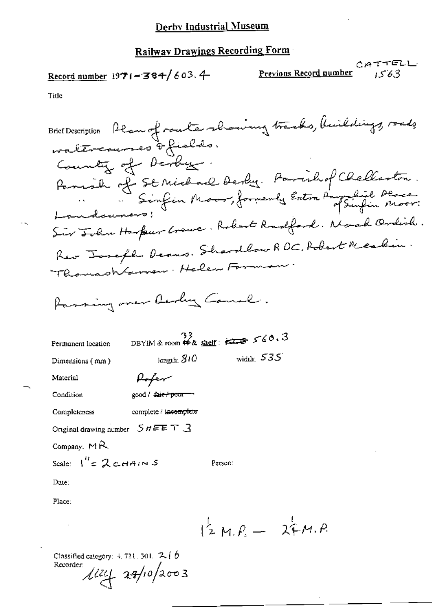Record number  $1971 - 384 / 603$ . 4

CATTELL Previous Record number 1563

Title

Brief Description Ream of route showing tracks, buildings, roads waltercourses of fields. County of Derby. Parish of St Michael Derby. Parishof Chelleston. "Sinfin Moor, formerly Entra Parze Parce.<br>Landsuners: Sir John Harpur Grewe. Robert Radford. Noak Ordish. Rev Joseph Denns. Shardlow RDC, Robert Meabin. Thomashtarren - Helen Forman Passing over Derly Comel.  $\frac{33}{28}$  DBYIM & room  $49$  & shelf:  $\overline{\phantom{1}}$ Permanent location width:  $535$ length:  $810$ Dimensions (mm) Pofer Material Condition good / <del>fair / poor -</del> complete / incomplete Completeness Original drawing number  $S$   $H \to T$   $\to$ Company:  $M\mathcal{R}$ Scale:  $I'' = 2c_{H}A_{I}N S$ Person: Date: Place:  $12M.P. - 24M.P.$ 

Classified category:  $4,724$  ,  $301,~$   $\mathcal{I},$   $\set{b}$ Recorder:  $\frac{1}{2}$   $\frac{1}{2}$   $\frac{1}{2}$   $\frac{1}{2}$   $\frac{1}{2}$   $\frac{1}{2}$   $\frac{1}{2}$   $\frac{1}{2}$   $\frac{1}{2}$   $\frac{1}{2}$   $\frac{1}{2}$   $\frac{1}{2}$   $\frac{1}{2}$   $\frac{1}{2}$   $\frac{1}{2}$   $\frac{1}{2}$   $\frac{1}{2}$   $\frac{1}{2}$   $\frac{1}{2}$   $\frac{1}{2}$   $\frac{1}{2}$   $\frac{1}{2}$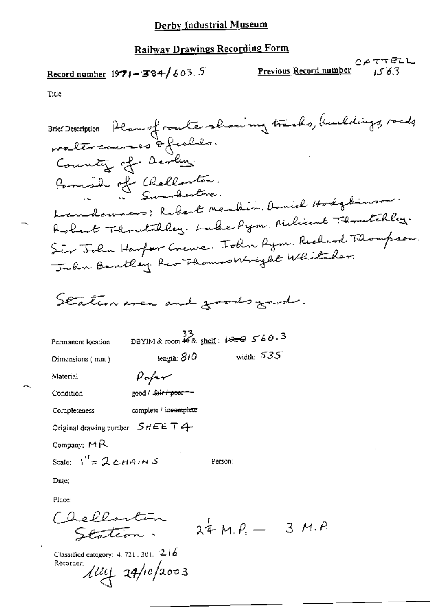Record number  $1971 - 384 / 603.5$ 

 $C A 77 F L L$ <br>Previous Record number 1563

Title

Classified category: 4.721.301. 216<br>Recorder:<br> $\mu$ 124 24/10/2003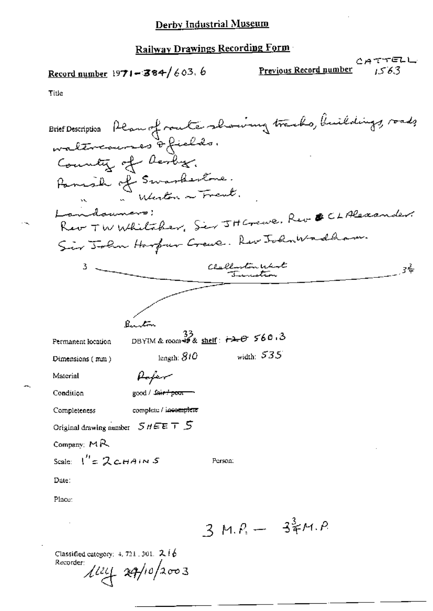Record number 1971-384/603.6

 $CATTEL$ 

Title

 $\cdot$   $\cdot$ 

|                         | Brief Description Plan of route showing tracks, buildings, roads |
|-------------------------|------------------------------------------------------------------|
|                         | waltreaunes of fields.                                           |
|                         | Country of Resbeg.                                               |
|                         | Panish of Swankestone.                                           |
|                         | " "Whereton a French"                                            |
| Landauner               |                                                                  |
|                         | Rev TW Whitaker, Ser JH Crewe, Rev & CLAlexan                    |
|                         | Sir John Harfur Crewe. Rev John Wadham.                          |
|                         | Clallenton West<br>3÷<br>Junction                                |
|                         |                                                                  |
|                         |                                                                  |
|                         | $B_{\text{max}}$ ton                                             |
| Permanent location      | DBYIM & room # & shelf: $\overrightarrow{r}$ 560.3               |
| Dimensions (mm)         | width: $535$<br>length: $810$                                    |
| Material                | Hafer                                                            |
| Condition               | good / Sair <del>/ poor</del>                                    |
| Completeness            | complete / incomplete                                            |
|                         | Original drawing number $S$ $H \in E$ $\top$ $S$                 |
| Company: MR             |                                                                  |
| Scale: $1'' = 2$ CHAINS | Person:                                                          |
| Date:                   |                                                                  |
| Place:                  |                                                                  |
|                         | $3 M.P. - 37 M.P.$                                               |
| Recorder:               | Classified category: $4, 721, 301$ . $216$<br>$\mu v$ aq/10/2003 |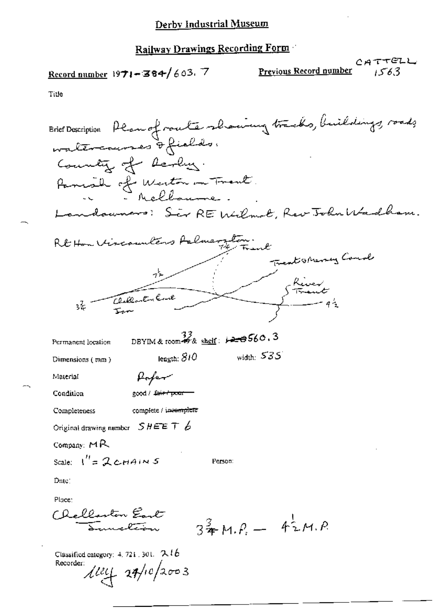Record number  $1971 - 384 / 603$ . 7

CATTELL Previous Record number 1563

Title

Brief Description Plan of route showing tracks, buildings, roads waltercourses of fields. Country of Realing. Parish of Weston in Trent. Sir REWilmot, Rev John Wadh Rt Hon Vircounters Arliner Treat streng Couch Stiver<br>Strant<br>- 92 32 DBYIM & room  $\overset{33}{\bullet}$  & shelf:  $\cancel{\bullet}$   $\overset{\bullet}{\bullet}$  560.3 Permanent location width:  $535$ length:  $810$ Dimensions (mm) Rofer Material good / fair / poor Condition complete / incomplete Completeness Original drawing number  $SHEE T \n6$ Company: MR Scale:  $I'' = 2c$ HAINS Person: Date: Place: Challanton Eart  $3\frac{3}{4}M.P. - 42M.P.$ -<br>-----<del>leve</del>

Classified category: 4, 721, 301.  $216$ Recorder:  $\frac{1}{4}$  at/10/2003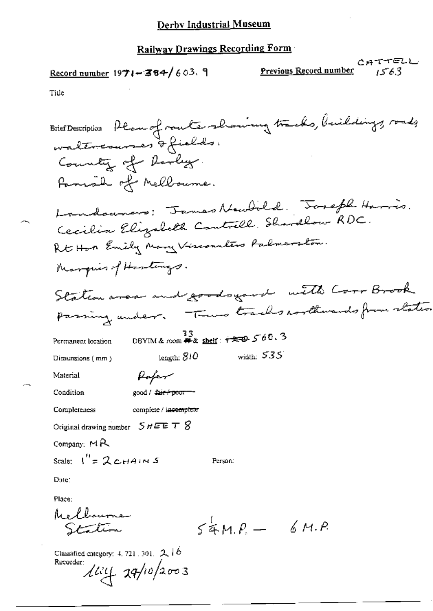Record number  $1971 - 384 / 603$ . 9

CATTELL<br>Previous Record number 1563

Title

| Brief Description Plan of route showing tracks, buildings, roads                |
|---------------------------------------------------------------------------------|
| waltercourses & fields.                                                         |
| County of Darly.                                                                |
| Fanish of Melloume.                                                             |
|                                                                                 |
| Landouners: James Newbold. Joseph Harris.                                       |
| Cecilia Elizabeth Controll. Shordlow RDC.                                       |
| Rt Hon Emily Mary Viscounters Palmerston.                                       |
| Marquis of Hastings.                                                            |
| Station area and goodsgard with Corr Brook                                      |
| passing under. There tracks roothwards from states                              |
|                                                                                 |
| $\frac{33}{13}$ DBYIM & room # & shelf: $\sqrt{22}$ 560.3<br>Permanent location |
| width: $535$<br>length: 810<br>Dimensions (mm)                                  |
| Material<br>Poper                                                               |
| good / <del>fair / poor - -</del><br>Condition                                  |
| complete / incomplete<br>Completeness                                           |
| Original drawing number $\mathcal{S}$ $HEE$ $\mathcal{T}$ $\mathcal{S}$         |
| Company: $M$ R                                                                  |
| Scale: $I'' = 2c$ HAINS<br>Person:                                              |
| Date:                                                                           |
| Place:                                                                          |
| Melbourne                                                                       |
| $54MP - 6MP$<br>Station                                                         |
| Classified category: 4, 721, 301, $2\sqrt{6}$                                   |
| Recorder:<br>$\mu$ uy 14/10/2003                                                |
|                                                                                 |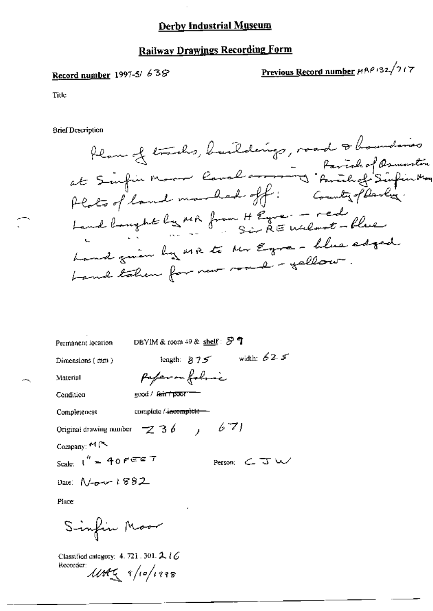## **Railway Drawings Recording Form**

## Record number 1997-5/ 638

Previous Record number HRP132/717

Title

**Brief Description** 

Plan of tracks, buildings, road & boundaries<br>at Sinfin Moore land around : family Sinfin May<br>Plats of land marked off : County planky. Land banque by MR from H Eure - red Land given by MR to Mr Egre- blue edged Land taken for new road-gellow.

| Permanent location                        | DBYIM & room 49 & shelf: $\mathcal{F}$ <b>T</b> |               |                                    |
|-------------------------------------------|-------------------------------------------------|---------------|------------------------------------|
| Dimensions (mm)                           |                                                 | length: $875$ | width: $625$                       |
| Material                                  | Pafer on folice                                 |               |                                    |
| Condition                                 | $\cos d / \sin f$ poor $\Box$                   |               |                                    |
| Completeness                              | compicte / <del>incomplete = =</del>            |               |                                    |
| Original drawing number $\sim$ 3 6 , 6 7) |                                                 |               |                                    |
| Company: $M \sim$                         |                                                 |               |                                    |
| Scale: $1'' = 40$ FEET                    |                                                 |               | Person: $\subset$ $\overline{J}$ W |
| Date: $N_{\tau} - 1882$                   |                                                 |               |                                    |
| Place:                                    |                                                 |               |                                    |

Sinfin Moor

Classified category: 4, 721, 301,  $2\ell G$ Recorder:  $\mathcal{U}M\mathcal{K}$   $9/10/1998$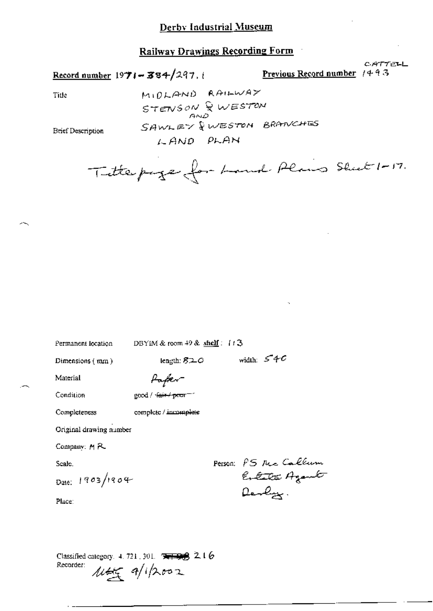Record number  $1971 - 384/297$ , i

Previous Record number  $1443$ 

CATTELL

Title

MIDLAND RAILWAY STENSON & WESTON SAWLEY & WESTON BRANCHES LAND PLAN

**Brief Description** 

Titlepige for Land Plais Sheet 1-17.

Permanent location

DBYIM & room 49 & shelf: 113

length:  $820$ 

Dimensions (mm)

fafer-

Material Condition

good / fair / poor - "

complete / incomplete

Original drawing number

Company: MR

Completeness

Scale.

Date: 1903/1904

Person: PS Mcc Callum Enterta Agamb Devlys.

width:  $54C$ 

Place:

Classified category. 4, 721, 301. **EFFECTS** 2, 16 Recorder:  $\text{max}$  a/ipoor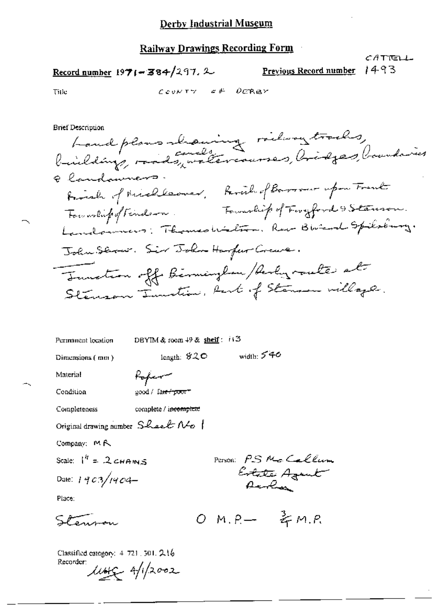Record number 1971-384/297. 2

Previous Record number 1493

*CA*TTELL

Title

$$
\mathcal{L}\texttt{cov}\tau\gamma = \varepsilon \not\vdash \neg \mathcal{D}\mathcal{C}\mathcal{R}\mathcal{B}\gamma
$$

**Brief Description** 

Land plans lauring ridway tracks, Elandamners. First of Michleoner, Paral of Barrow upon Frank Fourthip of Findson. Fourthip of Forgford & Stemson. Landonners: Thomas Wilton, Rev. Bureral Spilolury. John Servir. Sir John Harfer Crewe. Tourston off Birminglan / Archyroute at Stenson Tunction, Rast of Stenson willage.

| Permanent location | DBYIM & room $49$ & shelf: $113$ |        |
|--------------------|----------------------------------|--------|
| Dimensions (mm)    | length: $820$                    | width: |

Material

Condition

Rofer good / fa<del>n / poor</del> =

complete / i<del>ncomplete</del> Completeness

Original drawing number  $S$ heet  $N$ o  $\theta$ 

Company: MR

Scale:  $I^h = 2cHAMS$ 

Date: 1903/1904-

Place:

Stenam

 $OM.P. - \frac{3}{5}M.P.$ 

PETSON: PS Mc Callum

Estate Agent

540

Classified category: 4-721, 501, 216 Recorder  $\mu$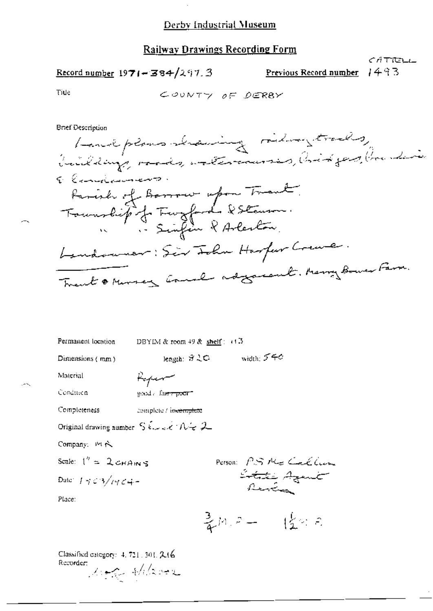$\bar{z}$ 

## **Railway Drawings Recording Form**

Record number  $1971 - 384/297.3$ 

 $1493$ Previous Record number

 $CAT$ TELL

Title

 $\mathcal{L}_{\mathcal{D}}$ 

Brief Description

| Permanent location                                                                                                                                                                                                                                                                                                                                                                              | DBYIM & reom $49$ & shelf $\approx$ $+1.3$                          |
|-------------------------------------------------------------------------------------------------------------------------------------------------------------------------------------------------------------------------------------------------------------------------------------------------------------------------------------------------------------------------------------------------|---------------------------------------------------------------------|
| Dimensions (mm)                                                                                                                                                                                                                                                                                                                                                                                 | width: $5 + c$<br>length: オミロ                                       |
| Material                                                                                                                                                                                                                                                                                                                                                                                        | Hefer                                                               |
| Condition                                                                                                                                                                                                                                                                                                                                                                                       | sond / fa <del>sty poor</del> "                                     |
| Completeness                                                                                                                                                                                                                                                                                                                                                                                    | complete / in <del>complete</del>                                   |
|                                                                                                                                                                                                                                                                                                                                                                                                 | Original drawing number $S \< c \wedge + \mathcal{N} + \mathcal{Z}$ |
| Company: Pt N                                                                                                                                                                                                                                                                                                                                                                                   |                                                                     |
| Scale: $1'' = 2$ CHAINS                                                                                                                                                                                                                                                                                                                                                                         |                                                                     |
| Date: $1 + \frac{3}{4} + \frac{2}{4} + \frac{1}{4} + \frac{1}{4} + \frac{1}{4} + \frac{1}{4} + \frac{1}{4} + \frac{1}{4} + \frac{1}{4} + \frac{1}{4} + \frac{1}{4} + \frac{1}{4} + \frac{1}{4} + \frac{1}{4} + \frac{1}{4} + \frac{1}{4} + \frac{1}{4} + \frac{1}{4} + \frac{1}{4} + \frac{1}{4} + \frac{1}{4} + \frac{1}{4} + \frac{1}{4} + \frac{1}{4} + \frac{1}{4} + \frac{1}{4} + \frac{1$ | Person: PS Me Callin<br>Ertate Agent<br>Review                      |
| Place:                                                                                                                                                                                                                                                                                                                                                                                          |                                                                     |
|                                                                                                                                                                                                                                                                                                                                                                                                 | 豪国ロー (金字目                                                           |

Classified category: 4, 721, 301, 216 Recorder: Mag Hilard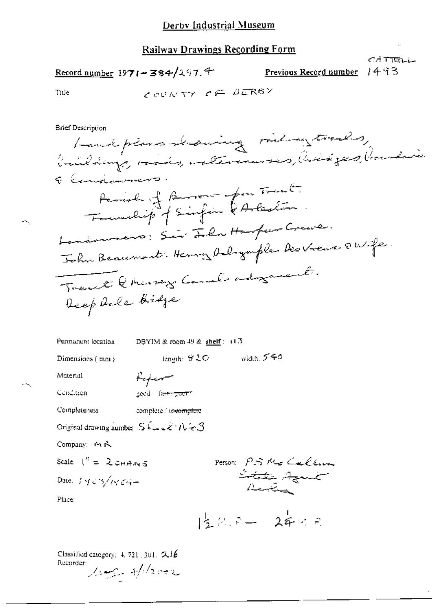Previous Record number

CATTELL 1493

Title

$$
\mathcal{L}_{\mathcal{L}'} \circ \mathcal{L} \wedge \mathcal{L} \forall \mathcal{L} \mathcal{L} \mathcal{L} \mathcal{L} \mathcal{L} \mathcal{L} \mathcal{R} \mathcal{B} \mathcal{L}
$$

**Brief Description** 

Permanent location DBYIM & room 49 & shelf: (13)  $\label{eq:qubit} \begin{aligned} \text{length:} \ \ S \, {\mathbb Q} \, \mathbf C \qquad \qquad \text{width:} \ \ S \, \mathbf C \end{aligned}$ Dimensions (mm) Material Rejer Cendition good - fa<del>ir: poor</del>f

Completeness complete / te<del>leomplete</del>

Original drawing number  $S$   $\ell_{\text{max}}$   $\ell$   $\land$   $\ell_{\text{max}}$   $\beta$ 

Company: MR

Scale:  $I'' = 2 \cos \theta$  in 5

Date:  $145/1464-$ 

Person: PS Me Callum

Place:

 $15.8.7 - 24.8$ 

Classified category: 4, 721, 301, 216 Recorder: look of laver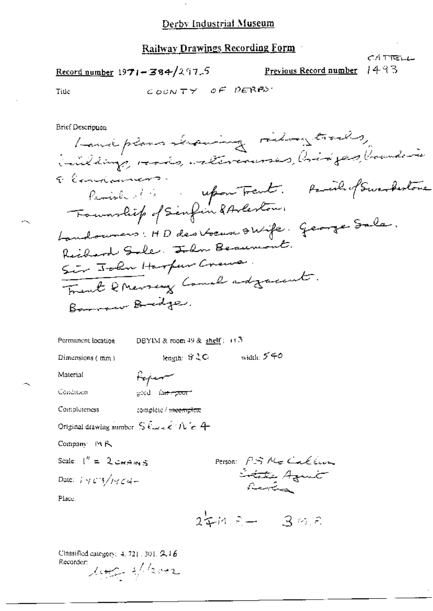Railway Drawings Recording Form

Record number  $1971 - 384/297.5$ 

Previous Record number

CÁ TIELL 1493

Title

COUNTY OF PERBY

Brief Description

Landplans Leaving riding trails, inildings, roots, intercourses, bridges, bounders Elendianers. Parish des reports. Parish of Swarfestone Fournality of Sinfin & Arleston. Landouvers: HD des Voeux OWife. George Sala. Reihard Sale. John Besurvant. Sir John Harfur Crews. Frent & Merseny Canal adjacent. Barrow Bridge.

Permanent location DBYIM & room 49 & shelf :  $(1.3)$ length:  $%2C$  width:  $540$ Dimensions  $(mn)$ Material Poper

Condition geed la<del>terpoor</del>

Completeness complete / <del>incomplete</del>

Original drawing number  $S$   $\ell_{\text{max}}$   $\ell$   $\rightarrow$   $\ell_{\text{max}}$   $4$ 

Company MR

Scale:  $1'' = 2 cm A m S$ 

Date:  $1403/1464-$ 

Person: PS Me Caller L<del>itat</del>e Azunt

Place.

 $244.8 - 39.8$ 

Classified category: 4, 721, 301, 2,16 Recorder: look of laver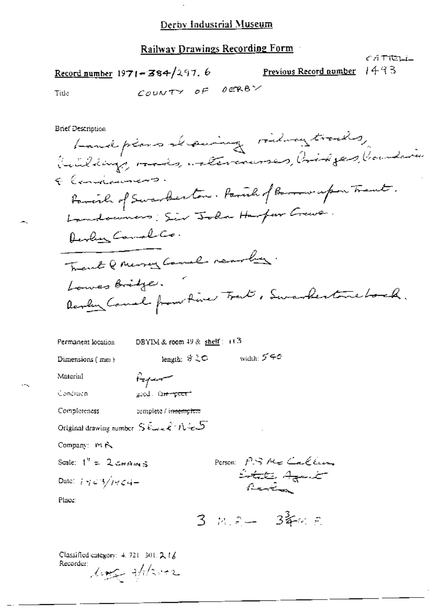Railway Drawings Recording Form

că Tiell Record number  $1971 - 384/297.6$ 1493 Previous Record number COUNTY OF DERBY

Title

**Brief Description** 

Landplans Leaving riding trades, building, rue a, atteriormes, aid pas, boundaries Elengianness. Parcial of Swarkerton. Parcia of Baron upon Treat. Landowners: Sir John Harfor Crawe. Develop Comal Co. Trent Q Merry Canal rearby. Lowes Bridge. Realing Camel from time Trant , Swankertone bock.

| Permanent location | DBYIM & room 49 & shelf $\approx$ 11.5 |             |
|--------------------|----------------------------------------|-------------|
| Dimensions $(mn)$  | length: きこつ                            | width: 5´4€ |
| Material           | before                                 |             |
| Condition          | good, fa <del>ir poor</del>            |             |

Completeness complete / is<del>teemplate</del>

Original drawing number  $S$  there  $\ell^+ \mathcal{N} \in \mathcal{S}$ 

Company: MR

Scale:  $1^{\prime\prime} = 2 \cos \theta$  in 5

Date:  $i \notin \mathcal{L}$  3/14  $\mathcal{L}4-$ 

Person: P.S.Me Callum L<del>itat</del>e Azailt<br>Review

Place:

 $3 - m^2 = -3^3$   $64.5$ 

Classified category: 4, 721-301, 2, 18 Recorder: ling filson